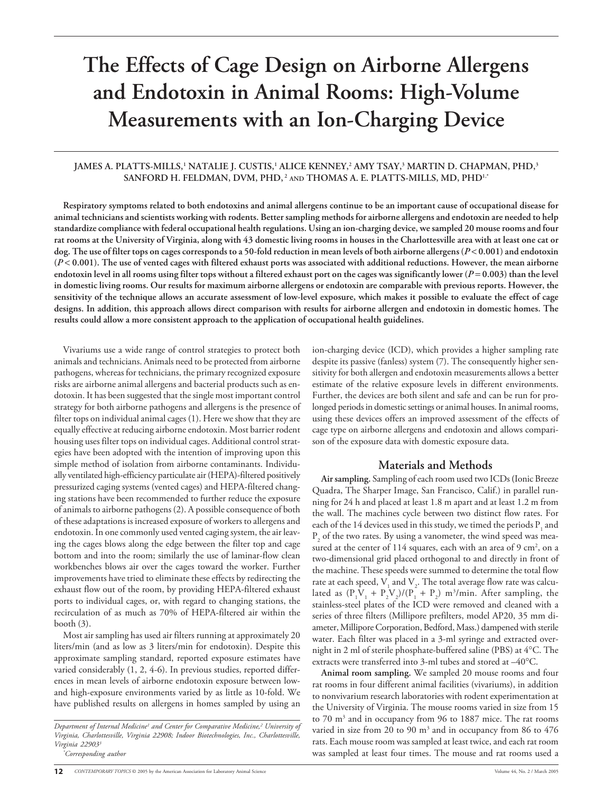# **The Effects of Cage Design on Airborne Allergens and Endotoxin in Animal Rooms: High-Volume Measurements with an Ion-Charging Device**

#### <code>JAMES</code> A. PLATTS-MILLS, $^1$  NATALIE J. CUSTIS, $^1$  ALICE KENNEY, $^2$  AMY TSAY, $^3$  MARTIN D. CHAPMAN, PHD, $^3$ **SANFORD H. FELDMAN, DVM, PHD, 2 AND THOMAS A. E. PLATTS-MILLS, MD, PHD1,\***

**Respiratory symptoms related to both endotoxins and animal allergens continue to be an important cause of occupational disease for animal technicians and scientists working with rodents. Better sampling methods for airborne allergens and endotoxin are needed to help standardize compliance with federal occupational health regulations. Using an ion-charging device, we sampled 20 mouse rooms and four rat rooms at the University of Virginia, along with 43 domestic living rooms in houses in the Charlottesville area with at least one cat or dog. The use of filter tops on cages corresponds to a 50-fold reduction in mean levels of both airborne allergens (***P* < **0.001) and endotoxin (***P* < **0.001). The use of vented cages with filtered exhaust ports was associated with additional reductions. However, the mean airborne** endotoxin level in all rooms using filter tops without a filtered exhaust port on the cages was significantly lower ( $P = 0.003$ ) than the level **in domestic living rooms. Our results for maximum airborne allergens or endotoxin are comparable with previous reports. However, the sensitivity of the technique allows an accurate assessment of low-level exposure, which makes it possible to evaluate the effect of cage designs. In addition, this approach allows direct comparison with results for airborne allergen and endotoxin in domestic homes. The results could allow a more consistent approach to the application of occupational health guidelines.**

Vivariums use a wide range of control strategies to protect both animals and technicians. Animals need to be protected from airborne pathogens, whereas for technicians, the primary recognized exposure risks are airborne animal allergens and bacterial products such as endotoxin. It has been suggested that the single most important control strategy for both airborne pathogens and allergens is the presence of filter tops on individual animal cages (1). Here we show that they are equally effective at reducing airborne endotoxin. Most barrier rodent housing uses filter tops on individual cages. Additional control strategies have been adopted with the intention of improving upon this simple method of isolation from airborne contaminants. Individually ventilated high-efficiency particulate air (HEPA)-filtered positively pressurized caging systems (vented cages) and HEPA-filtered changing stations have been recommended to further reduce the exposure of animals to airborne pathogens (2). A possible consequence of both of these adaptations is increased exposure of workers to allergens and endotoxin. In one commonly used vented caging system, the air leaving the cages blows along the edge between the filter top and cage bottom and into the room; similarly the use of laminar-flow clean workbenches blows air over the cages toward the worker. Further improvements have tried to eliminate these effects by redirecting the exhaust flow out of the room, by providing HEPA-filtered exhaust ports to individual cages, or, with regard to changing stations, the recirculation of as much as 70% of HEPA-filtered air within the booth (3).

Most air sampling has used air filters running at approximately 20 liters/min (and as low as 3 liters/min for endotoxin). Despite this approximate sampling standard, reported exposure estimates have varied considerably (1, 2, 4-6). In previous studies, reported differences in mean levels of airborne endotoxin exposure between lowand high-exposure environments varied by as little as 10-fold. We have published results on allergens in homes sampled by using an

*Department of Internal Medicine1 and Center for Comparative Medicine,2 University of Virginia, Charlottesville, Virginia 22908; Indoor Biotechnologies, Inc., Charlottesville, Virginia 229033*

ion-charging device (ICD), which provides a higher sampling rate despite its passive (fanless) system (7). The consequently higher sensitivity for both allergen and endotoxin measurements allows a better estimate of the relative exposure levels in different environments. Further, the devices are both silent and safe and can be run for prolonged periods in domestic settings or animal houses. In animal rooms, using these devices offers an improved assessment of the effects of cage type on airborne allergens and endotoxin and allows comparison of the exposure data with domestic exposure data.

# **Materials and Methods**

**Air sampling.** Sampling of each room used two ICDs **(**Ionic Breeze Quadra, The Sharper Image, San Francisco, Calif.) in parallel running for 24 h and placed at least 1.8 m apart and at least 1.2 m from the wall. The machines cycle between two distinct flow rates. For each of the 14 devices used in this study, we timed the periods  $\mathrm{P}_{_{1}}$  and  $P_2$  of the two rates. By using a vanometer, the wind speed was measured at the center of  $114$  squares, each with an area of 9 cm<sup>2</sup>, on a two-dimensional grid placed orthogonal to and directly in front of the machine. These speeds were summed to determine the total flow rate at each speed,  $\mathrm{V}_{_{1}}$  and  $\mathrm{V}_{_{2}}$ . The total average flow rate was calculated as  $(P_1V_1 + P_2V_2)/(P_1 + P_2)$  m<sup>3</sup>/min. After sampling, the stainless-steel plates of the ICD were removed and cleaned with a series of three filters (Millipore prefilters, model AP20, 35 mm diameter, Millipore Corporation, Bedford, Mass.) dampened with sterile water. Each filter was placed in a 3-ml syringe and extracted overnight in 2 ml of sterile phosphate-buffered saline (PBS) at 4°C. The extracts were transferred into 3-ml tubes and stored at –40°C.

**Animal room sampling.** We sampled 20 mouse rooms and four rat rooms in four different animal facilities (vivariums), in addition to nonvivarium research laboratories with rodent experimentation at the University of Virginia. The mouse rooms varied in size from 15 to 70 m<sup>3</sup> and in occupancy from 96 to 1887 mice. The rat rooms varied in size from 20 to 90 m<sup>3</sup> and in occupancy from 86 to 476 rats. Each mouse room was sampled at least twice, and each rat room was sampled at least four times. The mouse and rat rooms used a

*<sup>\*</sup> Corresponding author*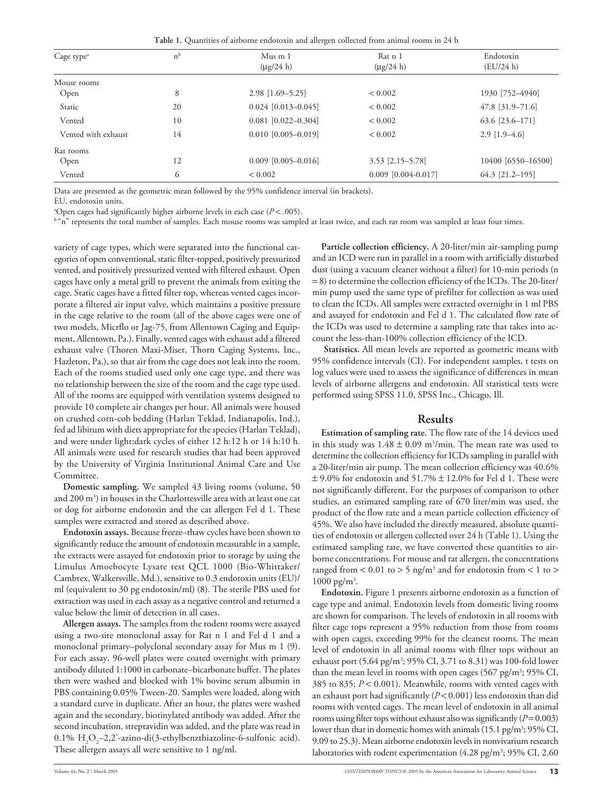**Table 1.** Quantities of airborne endotoxin and allergen collected from animal rooms in 24 h

| Cage type <sup>a</sup> | $n^{b}$                     | $Mus$ m 1                 | Rat n 1<br>$(\mu$ g/24 h) | Endotoxin          |
|------------------------|-----------------------------|---------------------------|---------------------------|--------------------|
|                        |                             | $(\mu$ g/24 h)            |                           | (EU/24 h)          |
| Mouse rooms            |                             |                           |                           |                    |
| Open                   | 8                           | $2.98$ [1.69-5.25]        | ${}< 0.002$               | 1930 [752-4940]    |
| Static                 | 20                          | $0.024$ [0.013-0.045]     | ${}< 0.002$               | $47.8$ [31.9-71.6] |
| Vented                 | 10                          | $0.081$ $[0.022 - 0.304]$ | ${}< 0.002$               | 63.6 [23.6-171]    |
| Vented with exhaust    | 14                          | $0.010$ $[0.005 - 0.019]$ | ${}< 0.002$               | $2.9$ [1.9-4.6]    |
| Rat rooms              |                             |                           |                           |                    |
| Open                   | $0.009$ [0.005-0.016]<br>12 |                           | $3.53$ [2.15-5.78]        | 10400 [6550-16500] |
| 6<br>Vented            |                             | ${}< 0.002$               | $0.009$ [0.004-0.017]     | 64.3 [21.2-195]    |

Data are presented as the geometric mean followed by the 95% confidence interval (in brackets).

EU, endotoxin units.

a Open cages had significantly higher airborne levels in each case (*P* < .005).

b "n" represents the total number of samples. Each mouse rooms was sampled at least twice, and each rat room was sampled at least four times.

variety of cage types, which were separated into the functional categories of open conventional, static filter-topped, positively pressurized vented, and positively pressurized vented with filtered exhaust. Open cages have only a metal grill to prevent the animals from exiting the cage. Static cages have a fitted filter top, whereas vented cages incorporate a filtered air input valve, which maintains a positive pressure in the cage relative to the room (all of the above cages were one of two models, Micrflo or Jag-75, from Allentown Caging and Equipment, Allentown, Pa.). Finally, vented cages with exhaust add a filtered exhaust valve (Thoren Maxi-Miser, Thorn Caging Systems, Inc., Hazleton, Pa.), so that air from the cage does not leak into the room. Each of the rooms studied used only one cage type, and there was no relationship between the size of the room and the cage type used. All of the rooms are equipped with ventilation systems designed to provide 10 complete air changes per hour. All animals were housed on crushed corn-cob bedding (Harlan Teklad, Indianapolis, Ind.), fed ad libitum with diets appropriate for the species (Harlan Teklad), and were under light:dark cycles of either 12 h:12 h or 14 h:10 h. All animals were used for research studies that had been approved by the University of Virginia Institutional Animal Care and Use Committee.

**Domestic sampling.** We sampled 43 living rooms (volume, 50 and 200 m $^3$ ) in houses in the Charlottesville area with at least one cat or dog for airborne endotoxin and the cat allergen Fel d 1. These samples were extracted and stored as described above.

**Endotoxin assays.** Because freeze–thaw cycles have been shown to significantly reduce the amount of endotoxin measurable in a sample, the extracts were assayed for endotoxin prior to storage by using the Limulus Amoebocyte Lysate test QCL 1000 (Bio-Whittaker/ Cambrex, Walkersville, Md.), sensitive to 0.3 endotoxin units (EU)/ ml (equivalent to 30 pg endotoxin/ml) (8). The sterile PBS used for extraction was used in each assay as a negative control and returned a value below the limit of detection in all cases.

**Allergen assays.** The samples from the rodent rooms were assayed using a two-site monoclonal assay for Rat n 1 and Fel d 1 and a monoclonal primary–polyclonal secondary assay for Mus m 1 (9). For each assay, 96-well plates were coated overnight with primary antibody diluted 1:1000 in carbonate–bicarbonate buffer. The plates then were washed and blocked with 1% bovine serum albumin in PBS containing 0.05% Tween-20. Samples were loaded, along with a standard curve in duplicate. After an hour, the plates were washed again and the secondary, biotinylated antibody was added. After the second incubation, streptavidin was added, and the plate was read in  $0.1\%$  H<sub>2</sub>O<sub>2</sub>–2,2'-azino-di(3-ethylbenzthiazoline-6-sulfonic acid). These allergen assays all were sensitive to 1 ng/ml.

**Particle collection efficiency.** A 20-liter/min air-sampling pump and an ICD were run in parallel in a room with artificially disturbed dust (using a vacuum cleaner without a filter) for 10-min periods (n = 8) to determine the collection efficiency of the ICDs. The 20-liter/ min pump used the same type of prefilter for collection as was used to clean the ICDs. All samples were extracted overnight in 1 ml PBS and assayed for endotoxin and Fel d 1. The calculated flow rate of the ICDs was used to determine a sampling rate that takes into account the less-than-100% collection efficiency of the ICD.

 **Statistics.** All mean levels are reported as geometric means with 95% confidence intervals (CI). For independent samples, t tests on log values were used to assess the significance of differences in mean levels of airborne allergens and endotoxin. All statistical tests were performed using SPSS 11.0, SPSS Inc., Chicago, Ill.

### **Results**

**Estimation of sampling rate.** The flow rate of the 14 devices used in this study was  $1.48 \pm 0.09$  m<sup>3</sup>/min. The mean rate was used to determine the collection efficiency for ICDs sampling in parallel with a 20-liter/min air pump. The mean collection efficiency was 40.6%  $\pm$  9.0% for endotoxin and 51.7%  $\pm$  12.0% for Fel d 1. These were not significantly different. For the purposes of comparison to other studies, an estimated sampling rate of 670 liter/min was used, the product of the flow rate and a mean particle collection efficiency of 45%. We also have included the directly measured, absolute quantities of endotoxin or allergen collected over 24 h (Table 1). Using the estimated sampling rate, we have converted these quantities to airborne concentrations. For mouse and rat allergen, the concentrations ranged from  $< 0.01$  to  $> 5$  ng/m<sup>3</sup> and for endotoxin from  $< 1$  to  $>$  $1000 \text{ pg/m}^3$ .

**Endotoxin.** Figure 1 presents airborne endotoxin as a function of cage type and animal. Endotoxin levels from domestic living rooms are shown for comparison. The levels of endotoxin in all rooms with filter cage tops represent a 95% reduction from those from rooms with open cages, exceeding 99% for the cleanest rooms. The mean level of endotoxin in all animal rooms with filter tops without an exhaust port (5.64 pg/m<sup>3</sup>; 95% CI, 3.71 to 8.31) was 100-fold lower than the mean level in rooms with open cages (567 pg/m<sup>3</sup>; 95% CI, 385 to 835; *P* < 0.001). Meanwhile, rooms with vented cages with an exhaust port had significantly (*P* < 0.001) less endotoxin than did rooms with vented cages. The mean level of endotoxin in all animal rooms using filter tops without exhaust also was significantly  $(P=0.003)$ lower than that in domestic homes with animals (15.1 pg/m<sup>3</sup>; 95% CI, 9.09 to 25.3). Mean airborne endotoxin levels in nonvivarium research laboratories with rodent experimentation (4.28 pg/m<sup>3</sup>; 95% CI, 2.60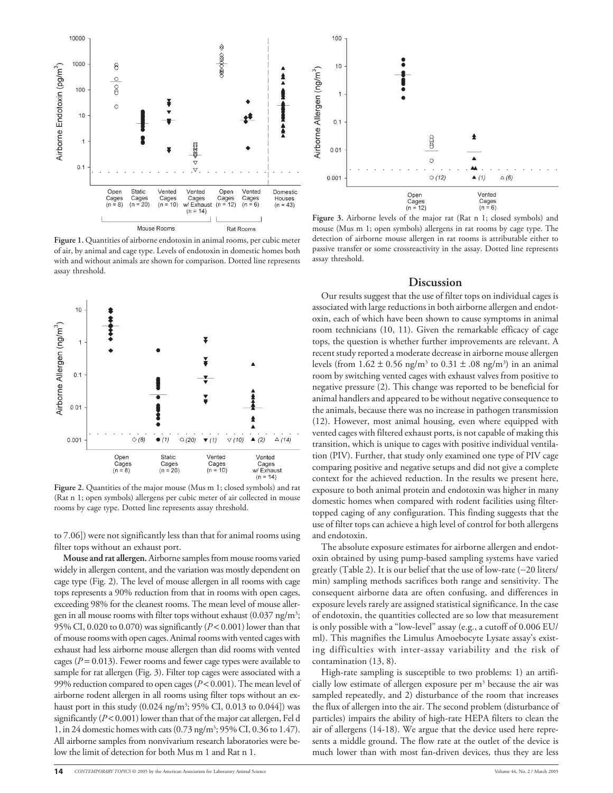

**Figure 1.** Quantities of airborne endotoxin in animal rooms, per cubic meter of air, by animal and cage type. Levels of endotoxin in domestic homes both with and without animals are shown for comparison. Dotted line represents assay threshold.



**Figure 2.** Quantities of the major mouse (Mus m 1; closed symbols) and rat (Rat n 1; open symbols) allergens per cubic meter of air collected in mouse rooms by cage type. Dotted line represents assay threshold.

to 7.06]) were not significantly less than that for animal rooms using filter tops without an exhaust port.

**Mouse and rat allergen.** Airborne samples from mouse rooms varied widely in allergen content, and the variation was mostly dependent on cage type (Fig. 2). The level of mouse allergen in all rooms with cage tops represents a 90% reduction from that in rooms with open cages, exceeding 98% for the cleanest rooms. The mean level of mouse allergen in all mouse rooms with filter tops without exhaust (0.037 ng/m<sup>3</sup>; 95% CI, 0.020 to 0.070) was significantly (*P* < 0.001) lower than that of mouse rooms with open cages. Animal rooms with vented cages with exhaust had less airborne mouse allergen than did rooms with vented cages (*P* = 0.013). Fewer rooms and fewer cage types were available to sample for rat allergen (Fig. 3). Filter top cages were associated with a 99% reduction compared to open cages (*P* < 0.001). The mean level of airborne rodent allergen in all rooms using filter tops without an exhaust port in this study (0.024 ng/m<sup>3</sup>; 95% CI, 0.013 to 0.044]) was significantly (*P* < 0.001) lower than that of the major cat allergen, Fel d 1, in 24 domestic homes with cats (0.73 ng/m3 ; 95% CI, 0.36 to 1.47). All airborne samples from nonvivarium research laboratories were below the limit of detection for both Mus m 1 and Rat n 1.



**Figure 3.** Airborne levels of the major rat (Rat n 1; closed symbols) and mouse (Mus m 1; open symbols) allergens in rat rooms by cage type. The detection of airborne mouse allergen in rat rooms is attributable either to passive transfer or some crossreactivity in the assay. Dotted line represents assay threshold.

#### **Discussion**

Our results suggest that the use of filter tops on individual cages is associated with large reductions in both airborne allergen and endotoxin, each of which have been shown to cause symptoms in animal room technicians (10, 11). Given the remarkable efficacy of cage tops, the question is whether further improvements are relevant. A recent study reported a moderate decrease in airborne mouse allergen levels (from  $1.62 \pm 0.56$  ng/m<sup>3</sup> to  $0.31 \pm .08$  ng/m<sup>3</sup>) in an animal room by switching vented cages with exhaust valves from positive to negative pressure (2). This change was reported to be beneficial for animal handlers and appeared to be without negative consequence to the animals, because there was no increase in pathogen transmission (12). However, most animal housing, even where equipped with vented cages with filtered exhaust ports, is not capable of making this transition, which is unique to cages with positive individual ventilation (PIV). Further, that study only examined one type of PIV cage comparing positive and negative setups and did not give a complete context for the achieved reduction. In the results we present here, exposure to both animal protein and endotoxin was higher in many domestic homes when compared with rodent facilities using filtertopped caging of any configuration. This finding suggests that the use of filter tops can achieve a high level of control for both allergens and endotoxin.

The absolute exposure estimates for airborne allergen and endotoxin obtained by using pump-based sampling systems have varied greatly (Table 2). It is our belief that the use of low-rate (∼20 liters/ min) sampling methods sacrifices both range and sensitivity. The consequent airborne data are often confusing, and differences in exposure levels rarely are assigned statistical significance. In the case of endotoxin, the quantities collected are so low that measurement is only possible with a "low-level" assay (e.g., a cutoff of 0.006 EU/ ml). This magnifies the Limulus Amoebocyte Lysate assay's existing difficulties with inter-assay variability and the risk of contamination (13, 8).

High-rate sampling is susceptible to two problems: 1) an artificially low estimate of allergen exposure per  $\mathrm{m}^{3}$  because the air was sampled repeatedly, and 2) disturbance of the room that increases the flux of allergen into the air. The second problem (disturbance of particles) impairs the ability of high-rate HEPA filters to clean the air of allergens (14-18). We argue that the device used here represents a middle ground. The flow rate at the outlet of the device is much lower than with most fan-driven devices, thus they are less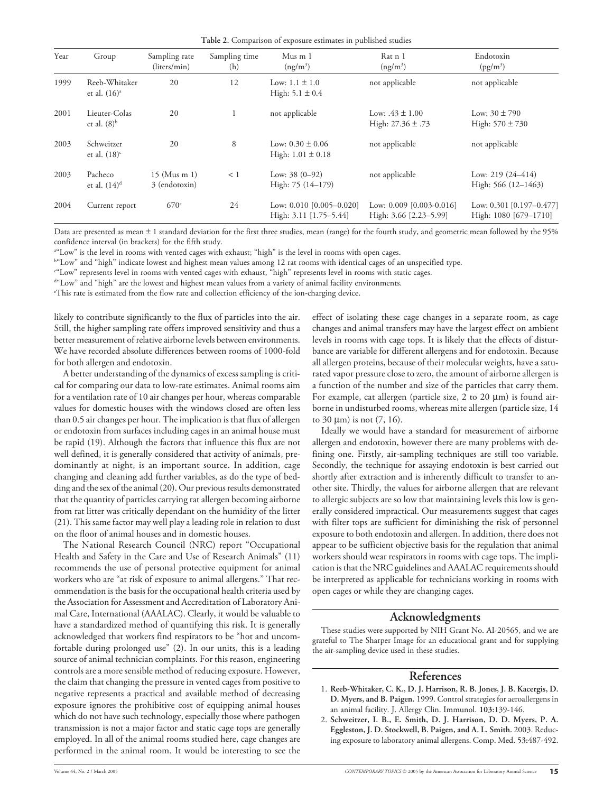| Year | Group                            | Sampling rate<br>(liters/min)   | Sampling time<br>(h) | Mus m 1<br>$(ng/m^3)$                                | Rat n 1<br>$(ng/m^3)$                                | Endotoxin<br>$(pg/m^3)$                           |
|------|----------------------------------|---------------------------------|----------------------|------------------------------------------------------|------------------------------------------------------|---------------------------------------------------|
| 1999 | Reeb-Whitaker<br>et al. $(16)^a$ | 20                              | 12                   | Low: $1.1 \pm 1.0$<br>High: $5.1 \pm 0.4$            | not applicable                                       | not applicable                                    |
| 2001 | Lieuter-Colas<br>et al. $(8)^b$  | 20                              |                      | not applicable                                       | Low: $.43 \pm 1.00$<br>High: $27.36 \pm .73$         | Low: $30 \pm 790$<br>High: $570 \pm 730$          |
| 2003 | Schweitzer<br>et al. $(18)^c$    | 20                              | 8                    | Low: $0.30 \pm 0.06$<br>High: $1.01 \pm 0.18$        | not applicable                                       | not applicable                                    |
| 2003 | Pacheco<br>et al. $(14)^d$       | $15$ (Mus m 1)<br>3 (endotoxin) | $\leq 1$             | Low: $38(0-92)$<br>High: $75(14-179)$                | not applicable                                       | Low: $219(24-414)$<br>High: 566 (12-1463)         |
| 2004 | Current report                   | 670 <sup>e</sup>                | 24                   | Low: $0.010$ [0.005-0.020]<br>High: 3.11 [1.75-5.44] | Low: $0.009$ [0.003-0.016]<br>High: 3.66 [2.23-5.99] | Low: 0.301 [0.197-0.477]<br>High: 1080 [679-1710] |

Data are presented as mean ± 1 standard deviation for the first three studies, mean (range) for the fourth study, and geometric mean followed by the 95% confidence interval (in brackets) for the fifth study.

a "Low" is the level in rooms with vented cages with exhaust; "high" is the level in rooms with open cages.

b "Low" and "high" indicate lowest and highest mean values among 12 rat rooms with identical cages of an unspecified type.

c "Low" represents level in rooms with vented cages with exhaust, "high" represents level in rooms with static cages.

<sup>d«</sup>Low" and "high" are the lowest and highest mean values from a variety of animal facility environments.

e This rate is estimated from the flow rate and collection efficiency of the ion-charging device.

likely to contribute significantly to the flux of particles into the air. Still, the higher sampling rate offers improved sensitivity and thus a better measurement of relative airborne levels between environments. We have recorded absolute differences between rooms of 1000-fold for both allergen and endotoxin.

A better understanding of the dynamics of excess sampling is critical for comparing our data to low-rate estimates. Animal rooms aim for a ventilation rate of 10 air changes per hour, whereas comparable values for domestic houses with the windows closed are often less than 0.5 air changes per hour. The implication is that flux of allergen or endotoxin from surfaces including cages in an animal house must be rapid (19). Although the factors that influence this flux are not well defined, it is generally considered that activity of animals, predominantly at night, is an important source. In addition, cage changing and cleaning add further variables, as do the type of bedding and the sex of the animal (20). Our previous results demonstrated that the quantity of particles carrying rat allergen becoming airborne from rat litter was critically dependant on the humidity of the litter (21). This same factor may well play a leading role in relation to dust on the floor of animal houses and in domestic houses.

The National Research Council (NRC) report "Occupational Health and Safety in the Care and Use of Research Animals" (11) recommends the use of personal protective equipment for animal workers who are "at risk of exposure to animal allergens." That recommendation is the basis for the occupational health criteria used by the Association for Assessment and Accreditation of Laboratory Animal Care, International (AAALAC). Clearly, it would be valuable to have a standardized method of quantifying this risk. It is generally acknowledged that workers find respirators to be "hot and uncomfortable during prolonged use" (2). In our units, this is a leading source of animal technician complaints. For this reason, engineering controls are a more sensible method of reducing exposure. However, the claim that changing the pressure in vented cages from positive to negative represents a practical and available method of decreasing exposure ignores the prohibitive cost of equipping animal houses which do not have such technology, especially those where pathogen transmission is not a major factor and static cage tops are generally employed. In all of the animal rooms studied here, cage changes are performed in the animal room. It would be interesting to see the

effect of isolating these cage changes in a separate room, as cage changes and animal transfers may have the largest effect on ambient levels in rooms with cage tops. It is likely that the effects of disturbance are variable for different allergens and for endotoxin. Because all allergen proteins, because of their molecular weights, have a saturated vapor pressure close to zero, the amount of airborne allergen is a function of the number and size of the particles that carry them. For example, cat allergen (particle size,  $2$  to  $20 \mu m$ ) is found airborne in undisturbed rooms, whereas mite allergen (particle size, 14 to 30  $\mu$ m) is not  $(7, 16)$ .

Ideally we would have a standard for measurement of airborne allergen and endotoxin, however there are many problems with defining one. Firstly, air-sampling techniques are still too variable. Secondly, the technique for assaying endotoxin is best carried out shortly after extraction and is inherently difficult to transfer to another site. Thirdly, the values for airborne allergen that are relevant to allergic subjects are so low that maintaining levels this low is generally considered impractical. Our measurements suggest that cages with filter tops are sufficient for diminishing the risk of personnel exposure to both endotoxin and allergen. In addition, there does not appear to be sufficient objective basis for the regulation that animal workers should wear respirators in rooms with cage tops. The implication is that the NRC guidelines and AAALAC requirements should be interpreted as applicable for technicians working in rooms with open cages or while they are changing cages.

## **Acknowledgments**

These studies were supported by NIH Grant No. AI-20565, and we are grateful to The Sharper Image for an educational grant and for supplying the air-sampling device used in these studies.

## **References**

- 1. **Reeb-Whitaker, C. K., D. J. Harrison, R. B. Jones, J. B. Kacergis, D. D. Myers, and B. Paigen.** 1999. Control strategies for aeroallergens in an animal facility. J. Allergy Clin. Immunol. **103:**139-146.
- 2. **Schweitzer, I. B., E. Smith, D. J. Harrison, D. D. Myers, P. A. Eggleston, J. D. Stockwell, B. Paigen, and A. L. Smith.** 2003. Reducing exposure to laboratory animal allergens. Comp. Med. **53:**487-492.